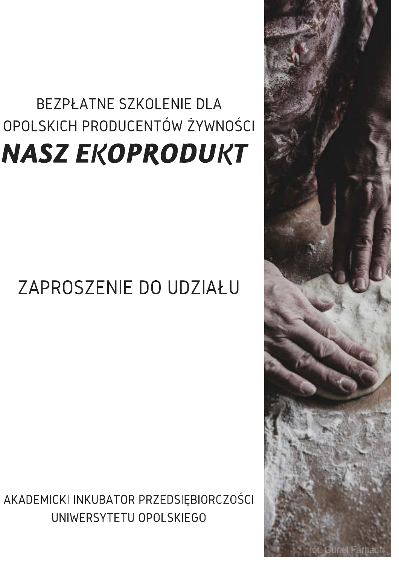# BEZPŁATNE SZKOLENIE DLA OPOLSKICH PRODUCENTÓW ŻYWNOŚCI **NASZ EKOPRODUKT**

## ZAPROSZENIE DO UDZIAŁU

AKADEMICKI INKUBATOR PRZEDSIĘBIORCZOŚCI UNIWERSYTETU OPOLSKIEGO

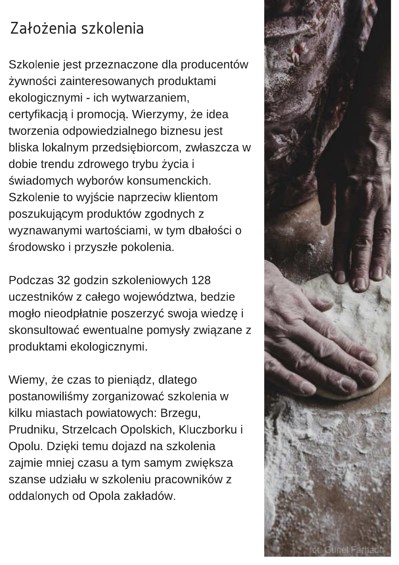### Założenia szkolenia

Szkolenie jest przeznaczone dla producentów żywności zainteresowanych produktami ekologicznymi - ich wytwarzaniem, certyfikacją i promocją. Wierzymy, że idea tworzenia odpowiedzialnego biznesu jest bliska lokalnym przedsiębiorcom, zwłaszcza w dobie trendu zdrowego trybu życia i świadomych wyborów konsumenckich. Szkolenie to wyjście naprzeciw klientom poszukującym produktów zgodnych z wyznawanymi wartościami, w tym dbałości o środowsko i przyszłe pokolenia.

Podczas 32 godzin szkoleniowych 128 uczestników z całego województwa, bedzie mogło nieodpłatnie poszerzyć swoja wiedzę i skonsultować ewentualne pomysły związane z produktami ekologicznymi.

Wiemy, że czas to pieniądz, dlatego postanowiliśmy zorganizować szkolenia w kilku miastach powiatowych: Brzegu, Prudniku, Strzelcach Opolskich, Kluczborku i Opolu. Dzięki temu dojazd na szkolenia zajmie mniej czasu a tym samym zwiększa szanse udziału w szkoleniu pracowników z oddalonych od Opola zakładów.

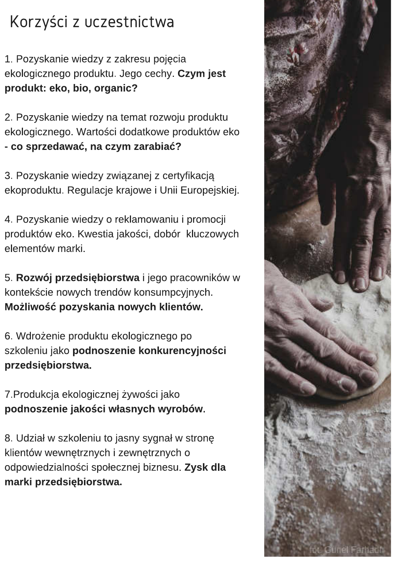### Korzyści z uczestnictwa

1. Pozyskanie wiedzy z zakresu pojęcia ekologicznego produktu. Jego cechy. Czym jest produkt: eko, bio, organic?

2. Pozyskanie wiedzy na temat rozwoju produktu ekologicznego. Wartości dodatkowe produktów eko - co sprzedawać, na czym zarabiać?

3. Pozyskanie wiedzy związanej z certyfikacją ekoproduktu. Regulacje krajowe i Unii Europejskiej.

4. Pozyskanie wiedzy o reklamowaniu i promocji produktów eko. Kwestia jakości, dobór kluczowych elementów marki.

5. Rozwój przedsiębiorstwa i jego pracowników w kontekście nowych trendów konsumpcyjnych. Możliwość pozyskania nowych klientów.

6. Wdrożenie produktu ekologicznego po szkoleniu jako podnoszenie konkurencyjności przedsiębiorstwa.

7. Produkcja ekologicznej żywości jako podnoszenie jakości własnych wyrobów.

8. Udział w szkoleniu to jasny sygnał w stronę klientów wewnętrznych i zewnętrznych o odpowiedzialności społecznej biznesu. Zysk dla marki przedsiębiorstwa.

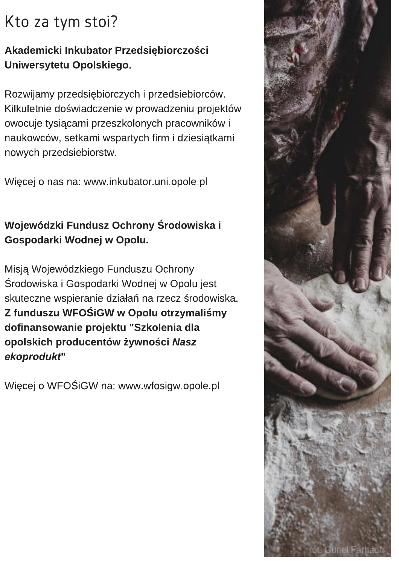### Kto za tym stoi?

#### Akademicki Inkubator Przedsiębiorczości Uniwersytetu Opolskiego.

Rozwijamy przedsiębiorczych i przedsiebiorców. Kilkuletnie doświadczenie w prowadzeniu projektów owocuje tysiącami przeszkolonych pracowników i naukowców, setkami wspartych firm i dziesiątkami nowych przedsiebiorstw.

Więcej o nas na: www.inkubator.uni.opole.pl

#### Wojewódzki Fundusz Ochrony Środowiska i Gospodarki Wodnej w Opolu.

Misją Wojewódzkiego Funduszu Ochrony Środowiska i Gospodarki Wodnej w Opolu jest skuteczne wspieranie działań na rzecz środowiska. Z funduszu WFOŚIGW w Opolu otrzymaliśmy dofinansowanie projektu "Szkolenia dla opolskich producentów żywności Nasz ekoprodukt"

Więcej o WFOŚiGW na: www.wfosigw.opole.pl

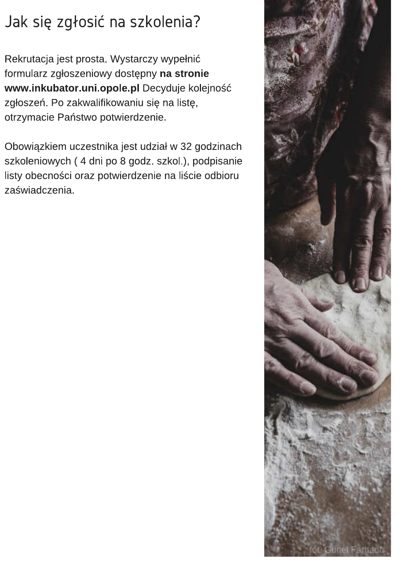### Jak się zgłosić na szkolenia?

Rekrutacja jest prosta. Wystarczy wypełnić formularz zgłoszeniowy dostępny na stronie www.inkubator.uni.opole.pl Decyduje kolejność zgłoszeń. Po zakwalifikowaniu się na listę, otrzymacie Państwo potwierdzenie.

Obowiązkiem uczestnika jest udział w 32 godzinach szkoleniowych (4 dni po 8 godz. szkol.), podpisanie listy obecności oraz potwierdzenie na liście odbioru zaświadczenia.